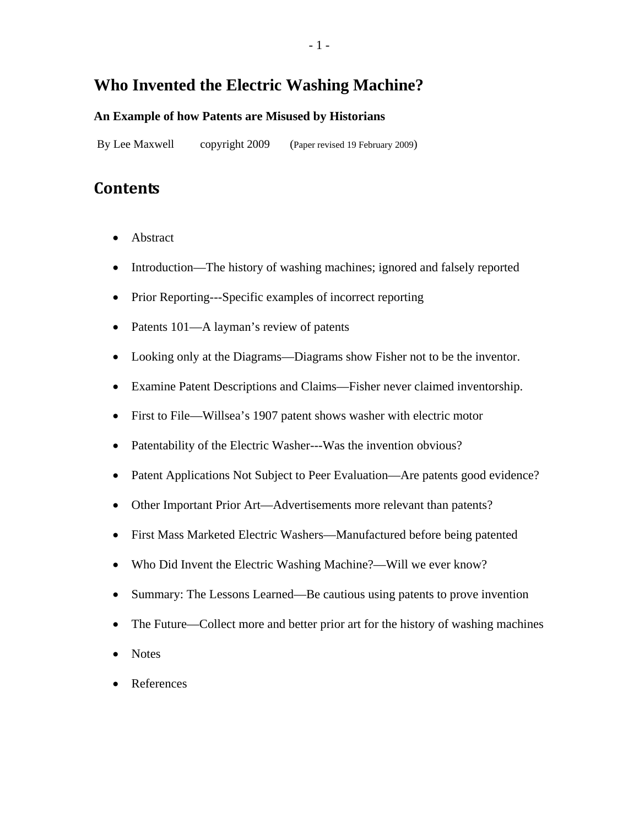## **Who Invented the Electric Washing Machine?**

#### **An Example of how Patents are Misused by Historians**

By Lee Maxwell copyright 2009 (Paper revised 19 February 2009)

## **Contents**

- Abstract
- Introduction—The history of washing machines; ignored and falsely reported
- Prior Reporting---Specific examples of incorrect reporting
- Patents 101—A layman's review of patents
- Looking only at the Diagrams—Diagrams show Fisher not to be the inventor.
- Examine Patent Descriptions and Claims—Fisher never claimed inventorship.
- First to File—Willsea's 1907 patent shows washer with electric motor
- Patentability of the Electric Washer---Was the invention obvious?
- Patent Applications Not Subject to Peer Evaluation—Are patents good evidence?
- Other Important Prior Art—Advertisements more relevant than patents?
- First Mass Marketed Electric Washers—Manufactured before being patented
- Who Did Invent the Electric Washing Machine?—Will we ever know?
- Summary: The Lessons Learned—Be cautious using patents to prove invention
- The Future—Collect more and better prior art for the history of washing machines
- **Notes**
- References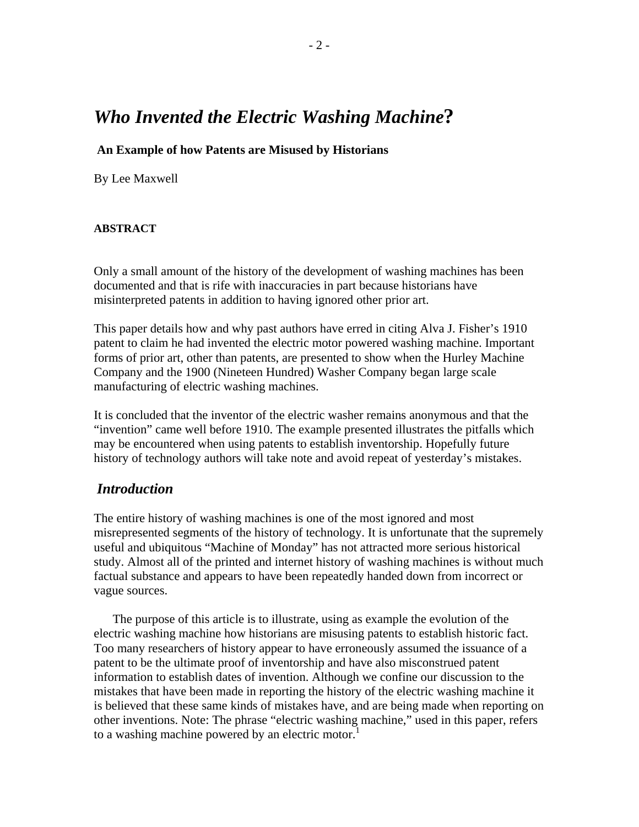# *Who Invented the Electric Washing Machine***?**

#### **An Example of how Patents are Misused by Historians**

By Lee Maxwell

#### **ABSTRACT**

Only a small amount of the history of the development of washing machines has been documented and that is rife with inaccuracies in part because historians have misinterpreted patents in addition to having ignored other prior art.

This paper details how and why past authors have erred in citing Alva J. Fisher's 1910 patent to claim he had invented the electric motor powered washing machine. Important forms of prior art, other than patents, are presented to show when the Hurley Machine Company and the 1900 (Nineteen Hundred) Washer Company began large scale manufacturing of electric washing machines.

It is concluded that the inventor of the electric washer remains anonymous and that the "invention" came well before 1910. The example presented illustrates the pitfalls which may be encountered when using patents to establish inventorship. Hopefully future history of technology authors will take note and avoid repeat of yesterday's mistakes.

#### *Introduction*

The entire history of washing machines is one of the most ignored and most misrepresented segments of the history of technology. It is unfortunate that the supremely useful and ubiquitous "Machine of Monday" has not attracted more serious historical study. Almost all of the printed and internet history of washing machines is without much factual substance and appears to have been repeatedly handed down from incorrect or vague sources.

The purpose of this article is to illustrate, using as example the evolution of the electric washing machine how historians are misusing patents to establish historic fact. Too many researchers of history appear to have erroneously assumed the issuance of a patent to be the ultimate proof of inventorship and have also misconstrued patent information to establish dates of invention. Although we confine our discussion to the mistakes that have been made in reporting the history of the electric washing machine it is believed that these same kinds of mistakes have, and are being made when reporting on other inventions. Note: The phrase "electric washing machine," used in this paper, refers to a washing machine powered by an electric motor.<sup>1</sup>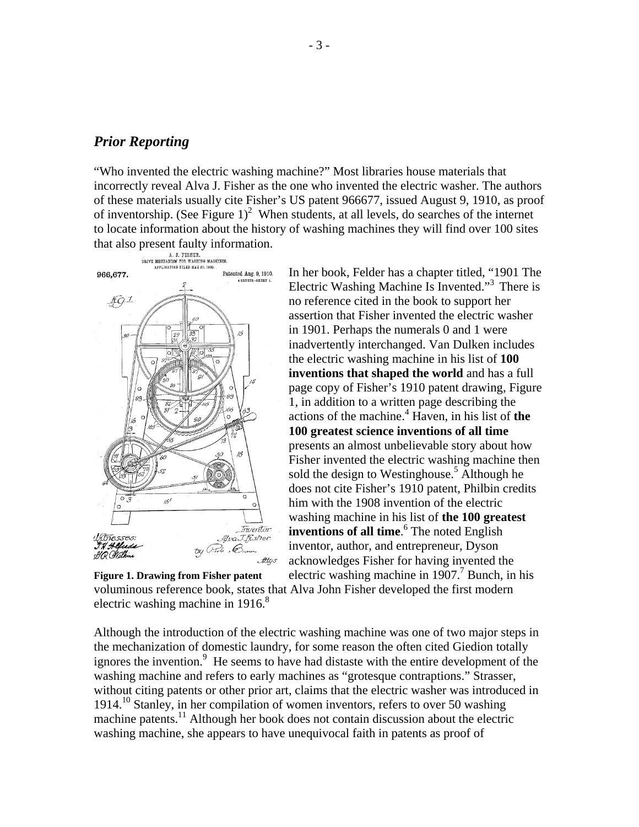#### *Prior Reporting*

"Who invented the electric washing machine?" Most libraries house materials that incorrectly reveal Alva J. Fisher as the one who invented the electric washer. The authors of these materials usually cite Fisher's US patent 966677, issued August 9, 1910, as proof of inventorship. (See Figure  $1$ )<sup>2</sup> When students, at all levels, do searches of the internet to locate information about the history of washing machines they will find over 100 sites



In her book, Felder has a chapter titled, "1901 The Electric Washing Machine Is Invented."3 There is no reference cited in the book to support her assertion that Fisher invented the electric washer in 1901. Perhaps the numerals 0 and 1 were inadvertently interchanged. Van Dulken includes the electric washing machine in his list of **100 inventions that shaped the world** and has a full page copy of Fisher's 1910 patent drawing, Figure 1, in addition to a written page describing the actions of the machine.4 Haven, in his list of **the 100 greatest science inventions of all time** presents an almost unbelievable story about how Fisher invented the electric washing machine then sold the design to Westinghouse.<sup>5</sup> Although he does not cite Fisher's 1910 patent, Philbin credits him with the 1908 invention of the electric washing machine in his list of **the 100 greatest inventions of all time.**<sup>6</sup> The noted English inventor, author, and entrepreneur, Dyson acknowledges Fisher for having invented the electric washing machine in  $1907$ .<sup>7</sup> Bunch, in his

voluminous reference book, states that Alva John Fisher developed the first modern electric washing machine in  $1916$ .<sup>8</sup> **Figure 1. Drawing from Fisher patent**

Although the introduction of the electric washing machine was one of two major steps in the mechanization of domestic laundry, for some reason the often cited Giedion totally ignores the invention.<sup>9</sup> He seems to have had distaste with the entire development of the washing machine and refers to early machines as "grotesque contraptions." Strasser, without citing patents or other prior art, claims that the electric washer was introduced in 1914.<sup>10</sup> Stanley, in her compilation of women inventors, refers to over 50 washing machine patents.<sup>11</sup> Although her book does not contain discussion about the electric washing machine, she appears to have unequivocal faith in patents as proof of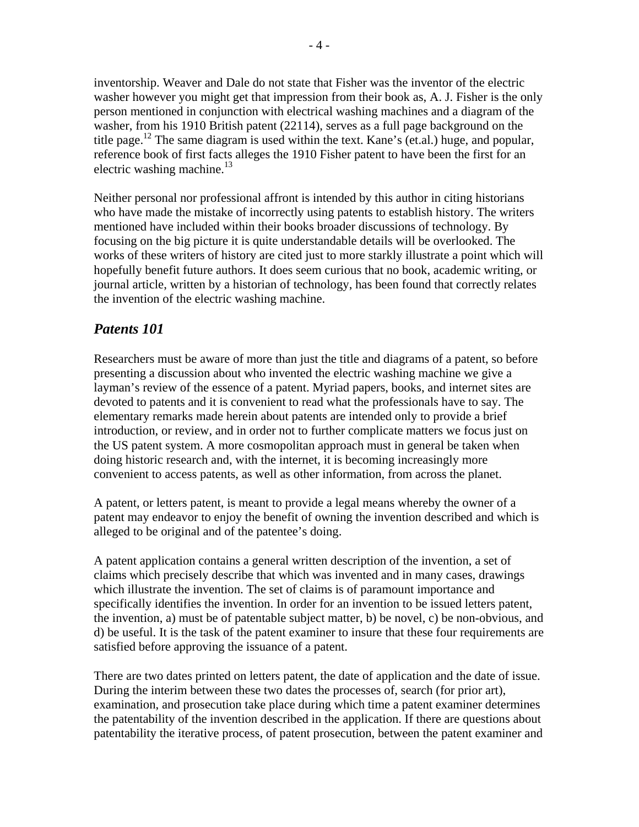inventorship. Weaver and Dale do not state that Fisher was the inventor of the electric washer however you might get that impression from their book as, A. J. Fisher is the only person mentioned in conjunction with electrical washing machines and a diagram of the washer, from his 1910 British patent (22114), serves as a full page background on the title page.<sup>12</sup> The same diagram is used within the text. Kane's (et.al.) huge, and popular, reference book of first facts alleges the 1910 Fisher patent to have been the first for an electric washing machine. $13$ 

Neither personal nor professional affront is intended by this author in citing historians who have made the mistake of incorrectly using patents to establish history. The writers mentioned have included within their books broader discussions of technology. By focusing on the big picture it is quite understandable details will be overlooked. The works of these writers of history are cited just to more starkly illustrate a point which will hopefully benefit future authors. It does seem curious that no book, academic writing, or journal article, written by a historian of technology, has been found that correctly relates the invention of the electric washing machine.

## *Patents 101*

Researchers must be aware of more than just the title and diagrams of a patent, so before presenting a discussion about who invented the electric washing machine we give a layman's review of the essence of a patent. Myriad papers, books, and internet sites are devoted to patents and it is convenient to read what the professionals have to say. The elementary remarks made herein about patents are intended only to provide a brief introduction, or review, and in order not to further complicate matters we focus just on the US patent system. A more cosmopolitan approach must in general be taken when doing historic research and, with the internet, it is becoming increasingly more convenient to access patents, as well as other information, from across the planet.

A patent, or letters patent, is meant to provide a legal means whereby the owner of a patent may endeavor to enjoy the benefit of owning the invention described and which is alleged to be original and of the patentee's doing.

A patent application contains a general written description of the invention, a set of claims which precisely describe that which was invented and in many cases, drawings which illustrate the invention. The set of claims is of paramount importance and specifically identifies the invention. In order for an invention to be issued letters patent, the invention, a) must be of patentable subject matter, b) be novel, c) be non-obvious, and d) be useful. It is the task of the patent examiner to insure that these four requirements are satisfied before approving the issuance of a patent.

There are two dates printed on letters patent, the date of application and the date of issue. During the interim between these two dates the processes of, search (for prior art), examination, and prosecution take place during which time a patent examiner determines the patentability of the invention described in the application. If there are questions about patentability the iterative process, of patent prosecution, between the patent examiner and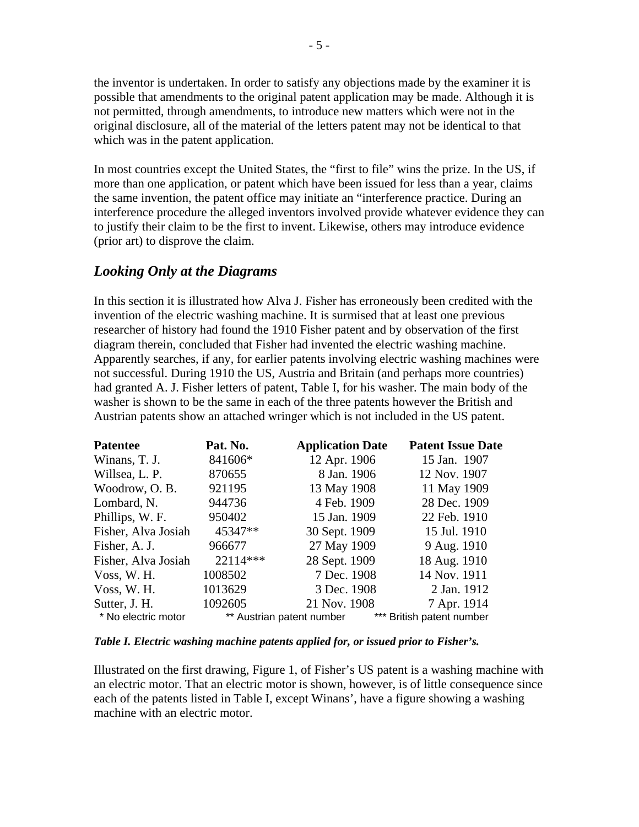the inventor is undertaken. In order to satisfy any objections made by the examiner it is possible that amendments to the original patent application may be made. Although it is not permitted, through amendments, to introduce new matters which were not in the original disclosure, all of the material of the letters patent may not be identical to that which was in the patent application.

In most countries except the United States, the "first to file" wins the prize. In the US, if more than one application, or patent which have been issued for less than a year, claims the same invention, the patent office may initiate an "interference practice. During an interference procedure the alleged inventors involved provide whatever evidence they can to justify their claim to be the first to invent. Likewise, others may introduce evidence (prior art) to disprove the claim.

### *Looking Only at the Diagrams*

In this section it is illustrated how Alva J. Fisher has erroneously been credited with the invention of the electric washing machine. It is surmised that at least one previous researcher of history had found the 1910 Fisher patent and by observation of the first diagram therein, concluded that Fisher had invented the electric washing machine. Apparently searches, if any, for earlier patents involving electric washing machines were not successful. During 1910 the US, Austria and Britain (and perhaps more countries) had granted A. J. Fisher letters of patent, Table I, for his washer. The main body of the washer is shown to be the same in each of the three patents however the British and Austrian patents show an attached wringer which is not included in the US patent.

| <b>Patentee</b>     | Pat. No. | <b>Application Date</b>   | <b>Patent Issue Date</b>  |
|---------------------|----------|---------------------------|---------------------------|
| Winans, T. J.       | 841606*  | 12 Apr. 1906              | 15 Jan. 1907              |
| Willsea, L. P.      | 870655   | 8 Jan. 1906               | 12 Nov. 1907              |
| Woodrow, O.B.       | 921195   | 13 May 1908               | 11 May 1909               |
| Lombard, N.         | 944736   | 4 Feb. 1909               | 28 Dec. 1909              |
| Phillips, W. F.     | 950402   | 15 Jan. 1909              | 22 Feb. 1910              |
| Fisher, Alva Josiah | 45347**  | 30 Sept. 1909             | 15 Jul. 1910              |
| Fisher, A. J.       | 966677   | 27 May 1909               | 9 Aug. 1910               |
| Fisher, Alva Josiah | 22114*** | 28 Sept. 1909             | 18 Aug. 1910              |
| Voss, W. H.         | 1008502  | 7 Dec. 1908               | 14 Nov. 1911              |
| Voss, W. H.         | 1013629  | 3 Dec. 1908               | 2 Jan. 1912               |
| Sutter, J. H.       | 1092605  | 21 Nov. 1908              | 7 Apr. 1914               |
| * No electric motor |          | ** Austrian patent number | *** British patent number |

*Table I. Electric washing machine patents applied for, or issued prior to Fisher's.* 

Illustrated on the first drawing, Figure 1, of Fisher's US patent is a washing machine with an electric motor. That an electric motor is shown, however, is of little consequence since each of the patents listed in Table I, except Winans', have a figure showing a washing machine with an electric motor.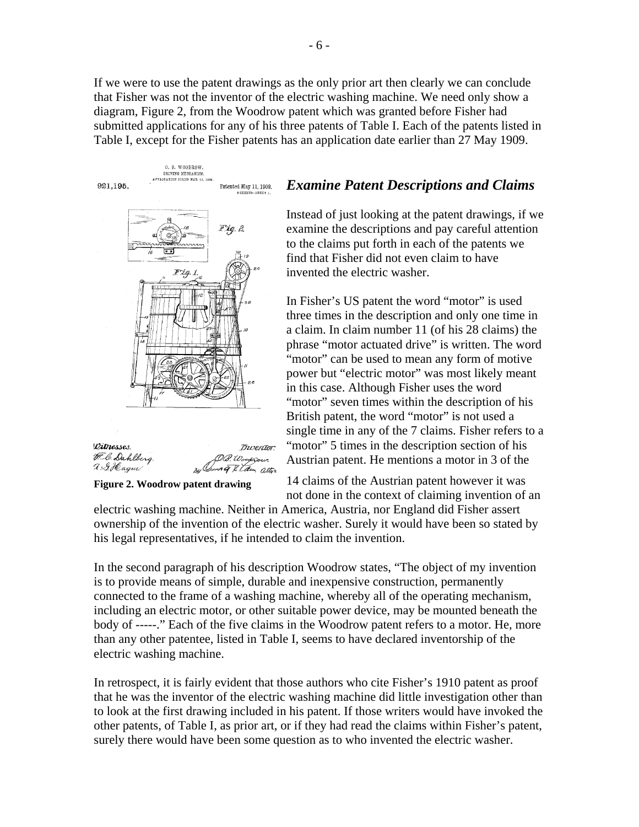If we were to use the patent drawings as the only prior art then clearly we can conclude that Fisher was not the inventor of the electric washing machine. We need only show a diagram, Figure 2, from the Woodrow patent which was granted before Fisher had submitted applications for any of his three patents of Table I. Each of the patents listed in Table I, except for the Fisher patents has an application date earlier than 27 May 1909.



2. G.Hagur! ng I Law atters

**Figure 2. Woodrow patent drawing**

### *Examine Patent Descriptions and Claims*

Instead of just looking at the patent drawings, if we examine the descriptions and pay careful attention to the claims put forth in each of the patents we find that Fisher did not even claim to have invented the electric washer.

In Fisher's US patent the word "motor" is used three times in the description and only one time in a claim. In claim number 11 (of his 28 claims) the phrase "motor actuated drive" is written. The word "motor" can be used to mean any form of motive power but "electric motor" was most likely meant in this case. Although Fisher uses the word "motor" seven times within the description of his British patent, the word "motor" is not used a single time in any of the 7 claims. Fisher refers to a "motor" 5 times in the description section of his Austrian patent. He mentions a motor in 3 of the

14 claims of the Austrian patent however it was not done in the context of claiming invention of an

electric washing machine. Neither in America, Austria, nor England did Fisher assert ownership of the invention of the electric washer. Surely it would have been so stated by his legal representatives, if he intended to claim the invention.

In the second paragraph of his description Woodrow states, "The object of my invention is to provide means of simple, durable and inexpensive construction, permanently connected to the frame of a washing machine, whereby all of the operating mechanism, including an electric motor, or other suitable power device, may be mounted beneath the body of -----." Each of the five claims in the Woodrow patent refers to a motor. He, more than any other patentee, listed in Table I, seems to have declared inventorship of the electric washing machine.

In retrospect, it is fairly evident that those authors who cite Fisher's 1910 patent as proof that he was the inventor of the electric washing machine did little investigation other than to look at the first drawing included in his patent. If those writers would have invoked the other patents, of Table I, as prior art, or if they had read the claims within Fisher's patent, surely there would have been some question as to who invented the electric washer.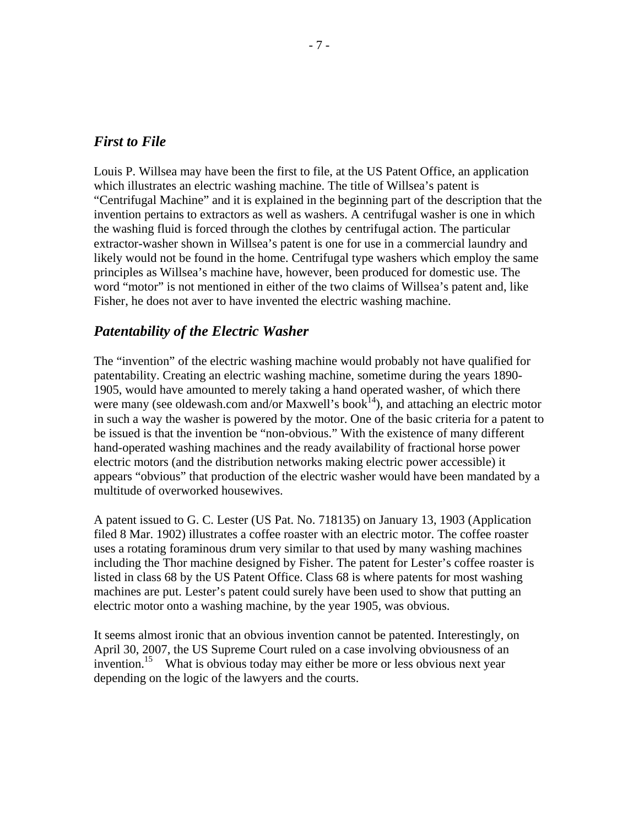#### *First to File*

Louis P. Willsea may have been the first to file, at the US Patent Office, an application which illustrates an electric washing machine. The title of Willsea's patent is "Centrifugal Machine" and it is explained in the beginning part of the description that the invention pertains to extractors as well as washers. A centrifugal washer is one in which the washing fluid is forced through the clothes by centrifugal action. The particular extractor-washer shown in Willsea's patent is one for use in a commercial laundry and likely would not be found in the home. Centrifugal type washers which employ the same principles as Willsea's machine have, however, been produced for domestic use. The word "motor" is not mentioned in either of the two claims of Willsea's patent and, like Fisher, he does not aver to have invented the electric washing machine.

#### *Patentability of the Electric Washer*

The "invention" of the electric washing machine would probably not have qualified for patentability. Creating an electric washing machine, sometime during the years 1890- 1905, would have amounted to merely taking a hand operated washer, of which there were many (see oldewash.com and/or Maxwell's book<sup>14</sup>), and attaching an electric motor in such a way the washer is powered by the motor. One of the basic criteria for a patent to be issued is that the invention be "non-obvious." With the existence of many different hand-operated washing machines and the ready availability of fractional horse power electric motors (and the distribution networks making electric power accessible) it appears "obvious" that production of the electric washer would have been mandated by a multitude of overworked housewives.

A patent issued to G. C. Lester (US Pat. No. 718135) on January 13, 1903 (Application filed 8 Mar. 1902) illustrates a coffee roaster with an electric motor. The coffee roaster uses a rotating foraminous drum very similar to that used by many washing machines including the Thor machine designed by Fisher. The patent for Lester's coffee roaster is listed in class 68 by the US Patent Office. Class 68 is where patents for most washing machines are put. Lester's patent could surely have been used to show that putting an electric motor onto a washing machine, by the year 1905, was obvious.

It seems almost ironic that an obvious invention cannot be patented. Interestingly, on April 30, 2007, the US Supreme Court ruled on a case involving obviousness of an invention.15 What is obvious today may either be more or less obvious next year depending on the logic of the lawyers and the courts.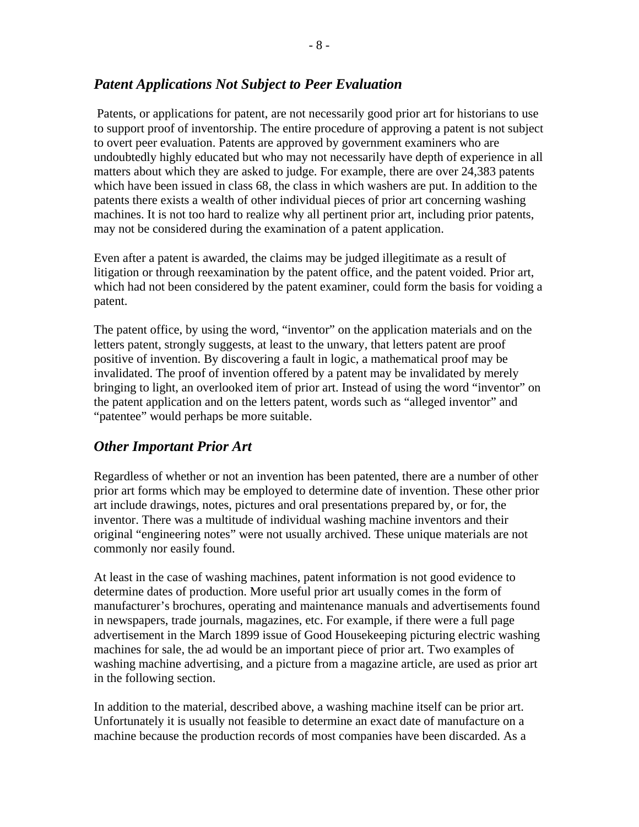#### *Patent Applications Not Subject to Peer Evaluation*

 Patents, or applications for patent, are not necessarily good prior art for historians to use to support proof of inventorship. The entire procedure of approving a patent is not subject to overt peer evaluation. Patents are approved by government examiners who are undoubtedly highly educated but who may not necessarily have depth of experience in all matters about which they are asked to judge. For example, there are over 24,383 patents which have been issued in class 68, the class in which washers are put. In addition to the patents there exists a wealth of other individual pieces of prior art concerning washing machines. It is not too hard to realize why all pertinent prior art, including prior patents, may not be considered during the examination of a patent application.

Even after a patent is awarded, the claims may be judged illegitimate as a result of litigation or through reexamination by the patent office, and the patent voided. Prior art, which had not been considered by the patent examiner, could form the basis for voiding a patent.

The patent office, by using the word, "inventor" on the application materials and on the letters patent, strongly suggests, at least to the unwary, that letters patent are proof positive of invention. By discovering a fault in logic, a mathematical proof may be invalidated. The proof of invention offered by a patent may be invalidated by merely bringing to light, an overlooked item of prior art. Instead of using the word "inventor" on the patent application and on the letters patent, words such as "alleged inventor" and "patentee" would perhaps be more suitable.

### *Other Important Prior Art*

Regardless of whether or not an invention has been patented, there are a number of other prior art forms which may be employed to determine date of invention. These other prior art include drawings, notes, pictures and oral presentations prepared by, or for, the inventor. There was a multitude of individual washing machine inventors and their original "engineering notes" were not usually archived. These unique materials are not commonly nor easily found.

At least in the case of washing machines, patent information is not good evidence to determine dates of production. More useful prior art usually comes in the form of manufacturer's brochures, operating and maintenance manuals and advertisements found in newspapers, trade journals, magazines, etc. For example, if there were a full page advertisement in the March 1899 issue of Good Housekeeping picturing electric washing machines for sale, the ad would be an important piece of prior art. Two examples of washing machine advertising, and a picture from a magazine article, are used as prior art in the following section.

In addition to the material, described above, a washing machine itself can be prior art. Unfortunately it is usually not feasible to determine an exact date of manufacture on a machine because the production records of most companies have been discarded. As a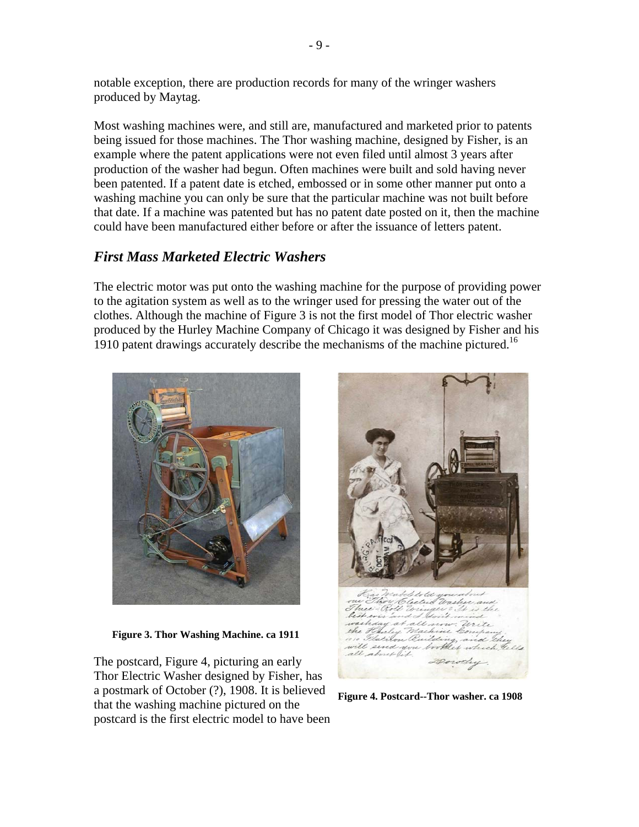notable exception, there are production records for many of the wringer washers produced by Maytag.

Most washing machines were, and still are, manufactured and marketed prior to patents being issued for those machines. The Thor washing machine, designed by Fisher, is an example where the patent applications were not even filed until almost 3 years after production of the washer had begun. Often machines were built and sold having never been patented. If a patent date is etched, embossed or in some other manner put onto a washing machine you can only be sure that the particular machine was not built before that date. If a machine was patented but has no patent date posted on it, then the machine could have been manufactured either before or after the issuance of letters patent.

### *First Mass Marketed Electric Washers*

The electric motor was put onto the washing machine for the purpose of providing power to the agitation system as well as to the wringer used for pressing the water out of the clothes. Although the machine of Figure 3 is not the first model of Thor electric washer produced by the Hurley Machine Company of Chicago it was designed by Fisher and his 1910 patent drawings accurately describe the mechanisms of the machine pictured.<sup>16</sup>



 **Figure 3. Thor Washing Machine. ca 1911**

The postcard, Figure 4, picturing an early Thor Electric Washer designed by Fisher, has a postmark of October (?), 1908. It is believed that the washing machine pictured on the postcard is the first electric model to have been



**Figure 4. Postcard--Thor washer. ca 1908**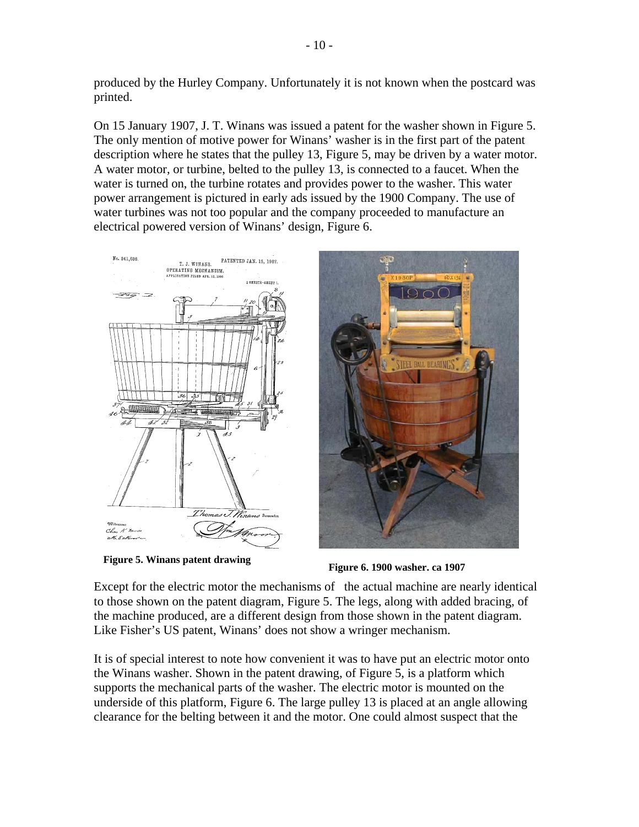produced by the Hurley Company. Unfortunately it is not known when the postcard was printed.

On 15 January 1907, J. T. Winans was issued a patent for the washer shown in Figure 5. The only mention of motive power for Winans' washer is in the first part of the patent description where he states that the pulley 13, Figure 5, may be driven by a water motor. A water motor, or turbine, belted to the pulley 13, is connected to a faucet. When the water is turned on, the turbine rotates and provides power to the washer. This water power arrangement is pictured in early ads issued by the 1900 Company. The use of water turbines was not too popular and the company proceeded to manufacture an electrical powered version of Winans' design, Figure 6.





Except for the electric motor the mechanisms of the actual machine are nearly identical to those shown on the patent diagram, Figure 5. The legs, along with added bracing, of the machine produced, are a different design from those shown in the patent diagram. Like Fisher's US patent, Winans' does not show a wringer mechanism.

It is of special interest to note how convenient it was to have put an electric motor onto the Winans washer. Shown in the patent drawing, of Figure 5, is a platform which supports the mechanical parts of the washer. The electric motor is mounted on the underside of this platform, Figure 6. The large pulley 13 is placed at an angle allowing clearance for the belting between it and the motor. One could almost suspect that the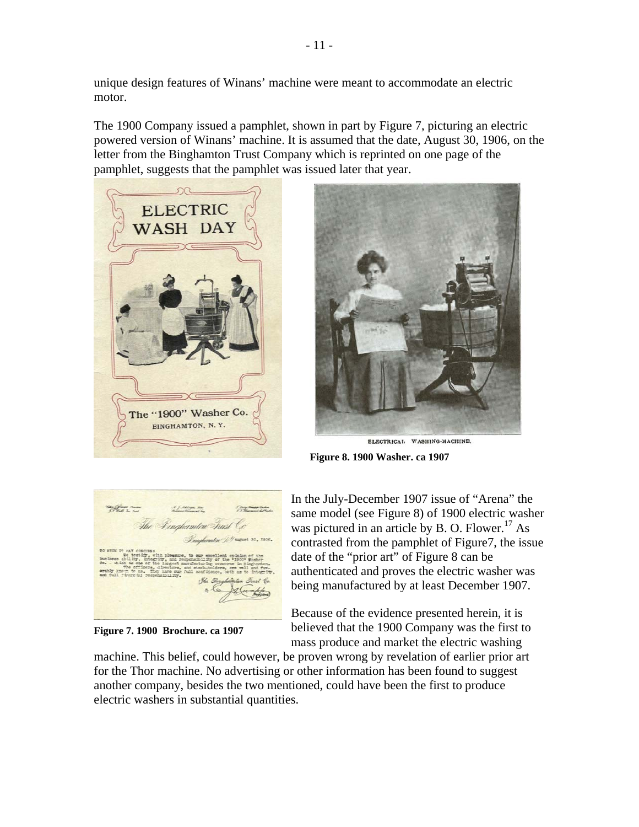unique design features of Winans' machine were meant to accommodate an electric motor.

The 1900 Company issued a pamphlet, shown in part by Figure 7, picturing an electric powered version of Winans' machine. It is assumed that the date, August 30, 1906, on the letter from the Binghamton Trust Company which is reprinted on one page of the pamphlet, suggests that the pamphlet was issued later that year.





ELECTRICAL WASHING-MACHINE. **Figure 8. 1900 Washer. ca 1907**

Wang Channel Road Dinahamton Trust Ce

**Figure 7. 1900 Brochure. ca 1907**

In the July-December 1907 issue of "Arena" the same model (see Figure 8) of 1900 electric washer was pictured in an article by B. O. Flower.<sup>17</sup> As contrasted from the pamphlet of Figure7, the issue date of the "prior art" of Figure 8 can be authenticated and proves the electric washer was being manufactured by at least December 1907.

Because of the evidence presented herein, it is believed that the 1900 Company was the first to mass produce and market the electric washing

machine. This belief, could however, be proven wrong by revelation of earlier prior art for the Thor machine. No advertising or other information has been found to suggest another company, besides the two mentioned, could have been the first to produce electric washers in substantial quantities.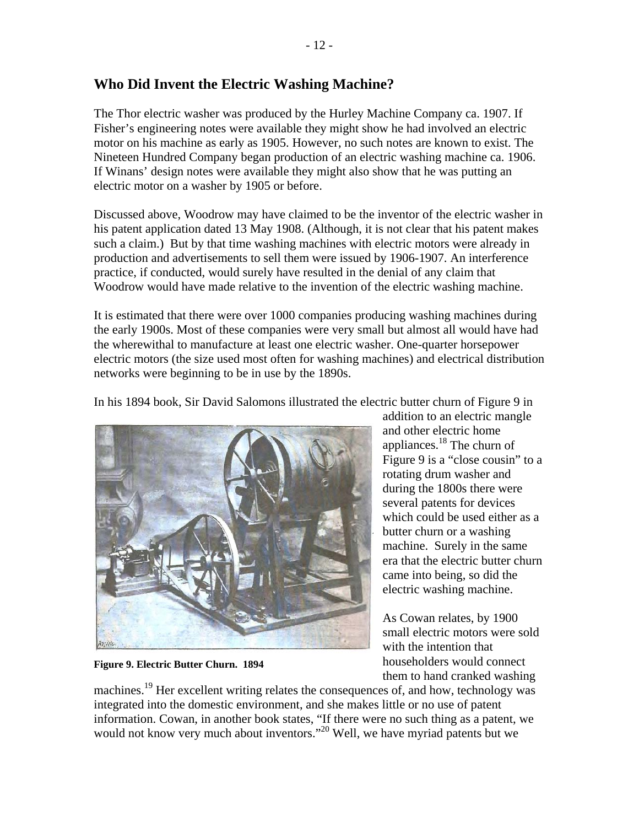### **Who Did Invent the Electric Washing Machine?**

The Thor electric washer was produced by the Hurley Machine Company ca. 1907. If Fisher's engineering notes were available they might show he had involved an electric motor on his machine as early as 1905. However, no such notes are known to exist. The Nineteen Hundred Company began production of an electric washing machine ca. 1906. If Winans' design notes were available they might also show that he was putting an electric motor on a washer by 1905 or before.

Discussed above, Woodrow may have claimed to be the inventor of the electric washer in his patent application dated 13 May 1908. (Although, it is not clear that his patent makes such a claim.) But by that time washing machines with electric motors were already in production and advertisements to sell them were issued by 1906-1907. An interference practice, if conducted, would surely have resulted in the denial of any claim that Woodrow would have made relative to the invention of the electric washing machine.

It is estimated that there were over 1000 companies producing washing machines during the early 1900s. Most of these companies were very small but almost all would have had the wherewithal to manufacture at least one electric washer. One-quarter horsepower electric motors (the size used most often for washing machines) and electrical distribution networks were beginning to be in use by the 1890s.

In his 1894 book, Sir David Salomons illustrated the electric butter churn of Figure 9 in



**Figure 9. Electric Butter Churn. 1894**

addition to an electric mangle and other electric home appliances.18 The churn of Figure 9 is a "close cousin" to a rotating drum washer and during the 1800s there were several patents for devices which could be used either as a butter churn or a washing machine. Surely in the same era that the electric butter churn came into being, so did the electric washing machine.

As Cowan relates, by 1900 small electric motors were sold with the intention that householders would connect them to hand cranked washing

machines.<sup>19</sup> Her excellent writing relates the consequences of, and how, technology was integrated into the domestic environment, and she makes little or no use of patent information. Cowan, in another book states, "If there were no such thing as a patent, we would not know very much about inventors."<sup>20</sup> Well, we have myriad patents but we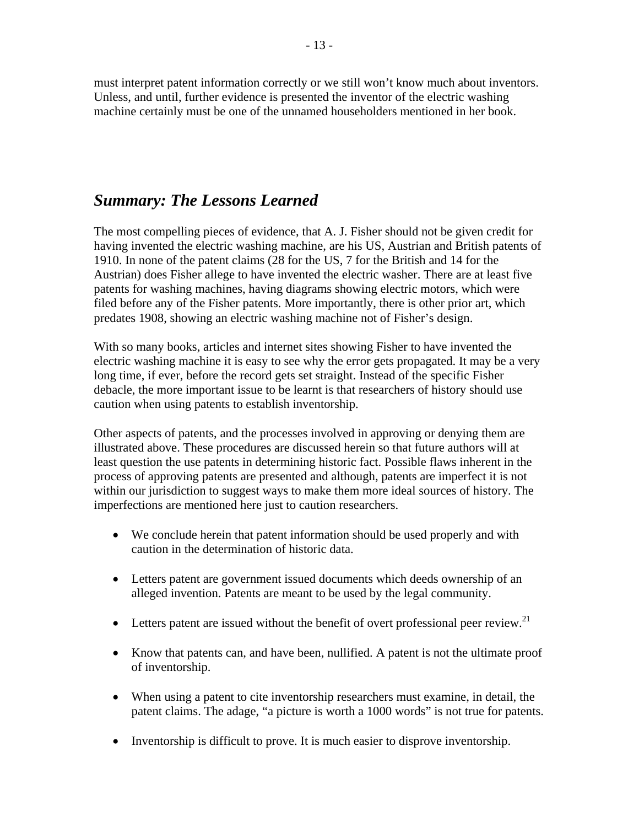must interpret patent information correctly or we still won't know much about inventors. Unless, and until, further evidence is presented the inventor of the electric washing machine certainly must be one of the unnamed householders mentioned in her book.

## *Summary: The Lessons Learned*

The most compelling pieces of evidence, that A. J. Fisher should not be given credit for having invented the electric washing machine, are his US, Austrian and British patents of 1910. In none of the patent claims (28 for the US, 7 for the British and 14 for the Austrian) does Fisher allege to have invented the electric washer. There are at least five patents for washing machines, having diagrams showing electric motors, which were filed before any of the Fisher patents. More importantly, there is other prior art, which predates 1908, showing an electric washing machine not of Fisher's design.

With so many books, articles and internet sites showing Fisher to have invented the electric washing machine it is easy to see why the error gets propagated. It may be a very long time, if ever, before the record gets set straight. Instead of the specific Fisher debacle, the more important issue to be learnt is that researchers of history should use caution when using patents to establish inventorship.

Other aspects of patents, and the processes involved in approving or denying them are illustrated above. These procedures are discussed herein so that future authors will at least question the use patents in determining historic fact. Possible flaws inherent in the process of approving patents are presented and although, patents are imperfect it is not within our jurisdiction to suggest ways to make them more ideal sources of history. The imperfections are mentioned here just to caution researchers.

- We conclude herein that patent information should be used properly and with caution in the determination of historic data.
- Letters patent are government issued documents which deeds ownership of an alleged invention. Patents are meant to be used by the legal community.
- Letters patent are issued without the benefit of overt professional peer review.<sup>21</sup>
- Know that patents can, and have been, nullified. A patent is not the ultimate proof of inventorship.
- When using a patent to cite inventorship researchers must examine, in detail, the patent claims. The adage, "a picture is worth a 1000 words" is not true for patents.
- Inventorship is difficult to prove. It is much easier to disprove inventorship.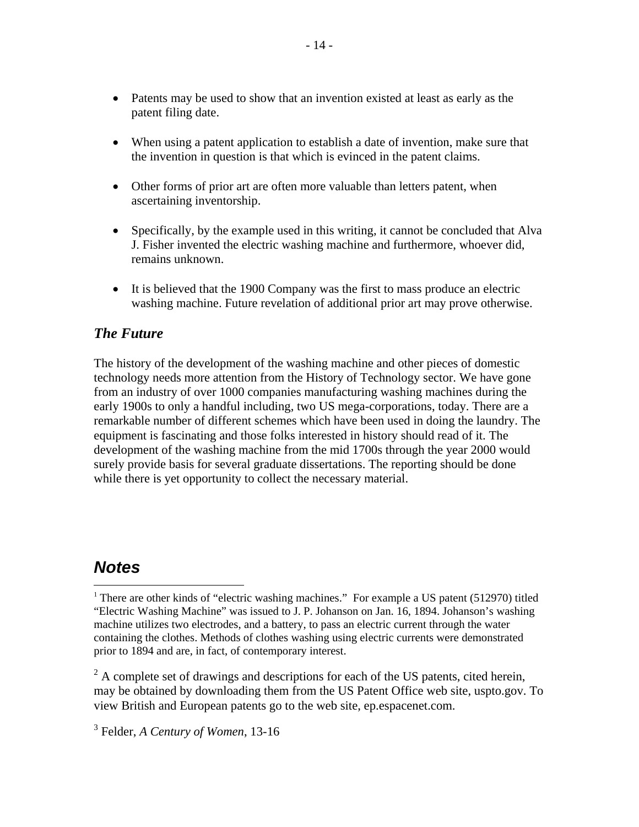- Patents may be used to show that an invention existed at least as early as the patent filing date.
- When using a patent application to establish a date of invention, make sure that the invention in question is that which is evinced in the patent claims.
- Other forms of prior art are often more valuable than letters patent, when ascertaining inventorship.
- Specifically, by the example used in this writing, it cannot be concluded that Alva J. Fisher invented the electric washing machine and furthermore, whoever did, remains unknown.
- It is believed that the 1900 Company was the first to mass produce an electric washing machine. Future revelation of additional prior art may prove otherwise.

### *The Future*

The history of the development of the washing machine and other pieces of domestic technology needs more attention from the History of Technology sector. We have gone from an industry of over 1000 companies manufacturing washing machines during the early 1900s to only a handful including, two US mega-corporations, today. There are a remarkable number of different schemes which have been used in doing the laundry. The equipment is fascinating and those folks interested in history should read of it. The development of the washing machine from the mid 1700s through the year 2000 would surely provide basis for several graduate dissertations. The reporting should be done while there is yet opportunity to collect the necessary material.

## *Notes*

 $\overline{a}$ 

 $2^2$  A complete set of drawings and descriptions for each of the US patents, cited herein, may be obtained by downloading them from the US Patent Office web site, uspto.gov. To view British and European patents go to the web site, ep.espacenet.com.

3 Felder, *A Century of Women*, 13-16

<sup>&</sup>lt;sup>1</sup> There are other kinds of "electric washing machines." For example a US patent (512970) titled "Electric Washing Machine" was issued to J. P. Johanson on Jan. 16, 1894. Johanson's washing machine utilizes two electrodes, and a battery, to pass an electric current through the water containing the clothes. Methods of clothes washing using electric currents were demonstrated prior to 1894 and are, in fact, of contemporary interest.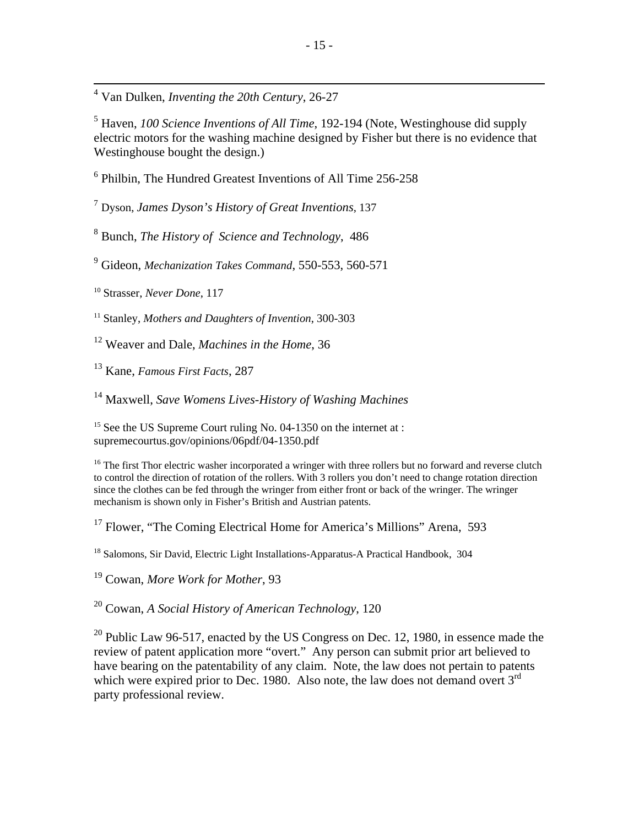4 Van Dulken, *Inventing the 20th Century*, 26-27

5 Haven, *100 Science Inventions of All Time*, 192-194 (Note, Westinghouse did supply electric motors for the washing machine designed by Fisher but there is no evidence that Westinghouse bought the design.)

6 Philbin, The Hundred Greatest Inventions of All Time 256-258

<sup>7</sup> Dyson, *James Dyson's History of Great Inventions*, 137

8 Bunch, *The History of Science and Technology*, 486

9 Gideon, *Mechanization Takes Command*, 550-553, 560-571

<sup>10</sup> Strasser, *Never Done*, 117

<sup>11</sup> Stanley, *Mothers and Daughters of Invention*, 300-303

12 Weaver and Dale, *Machines in the Home*, 36

13 Kane, *Famous First Facts*, 287

14 Maxwell, *Save Womens Lives-History of Washing Machines*

<sup>15</sup> See the US Supreme Court ruling No. 04-1350 on the internet at : supremecourtus.gov/opinions/06pdf/04-1350.pdf

<sup>16</sup> The first Thor electric washer incorporated a wringer with three rollers but no forward and reverse clutch to control the direction of rotation of the rollers. With 3 rollers you don't need to change rotation direction since the clothes can be fed through the wringer from either front or back of the wringer. The wringer mechanism is shown only in Fisher's British and Austrian patents.

<sup>17</sup> Flower, "The Coming Electrical Home for America's Millions" Arena, 593

<sup>18</sup> Salomons, Sir David, Electric Light Installations-Apparatus-A Practical Handbook, 304

19 Cowan, *More Work for Mother*, 93

20 Cowan, *A Social History of American Technology*, 120

 $20$  Public Law 96-517, enacted by the US Congress on Dec. 12, 1980, in essence made the review of patent application more "overt." Any person can submit prior art believed to have bearing on the patentability of any claim. Note, the law does not pertain to patents which were expired prior to Dec. 1980. Also note, the law does not demand overt 3<sup>rd</sup> party professional review.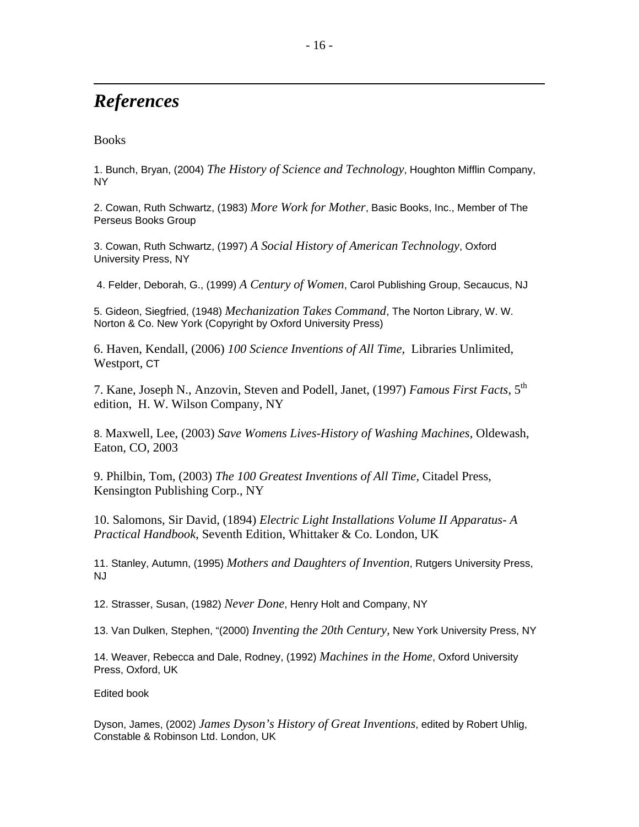# *References*

#### **Books**

 $\overline{a}$ 

1. Bunch, Bryan, (2004) *The History of Science and Technology*, Houghton Mifflin Company, NY

2. Cowan, Ruth Schwartz, (1983) *More Work for Mother*, Basic Books, Inc., Member of The Perseus Books Group

3. Cowan, Ruth Schwartz, (1997) *A Social History of American Technology*, Oxford University Press, NY

4. Felder, Deborah, G., (1999) *A Century of Women*, Carol Publishing Group, Secaucus, NJ

5. Gideon, Siegfried, (1948) *Mechanization Takes Command*, The Norton Library, W. W. Norton & Co. New York (Copyright by Oxford University Press)

6. Haven, Kendall, (2006) *100 Science Inventions of All Time*, Libraries Unlimited, Westport, CT

7. Kane, Joseph N., Anzovin, Steven and Podell, Janet, (1997) *Famous First Facts*, 5th edition, H. W. Wilson Company, NY

8. Maxwell, Lee, (2003) *Save Womens Lives-History of Washing Machines*, Oldewash, Eaton, CO, 2003

9. Philbin, Tom, (2003) *The 100 Greatest Inventions of All Time*, Citadel Press, Kensington Publishing Corp., NY

10. Salomons, Sir David, (1894) *Electric Light Installations Volume II Apparatus- A Practical Handbook*, Seventh Edition, Whittaker & Co. London, UK

11. Stanley, Autumn, (1995) *Mothers and Daughters of Invention*, Rutgers University Press, NJ

12. Strasser, Susan, (1982) *Never Done*, Henry Holt and Company, NY

13. Van Dulken, Stephen, "(2000) *Inventing the 20th Century,* New York University Press, NY

14. Weaver, Rebecca and Dale, Rodney, (1992) *Machines in the Home*, Oxford University Press, Oxford, UK

Edited book

Dyson, James, (2002) *James Dyson's History of Great Inventions*, edited by Robert Uhlig, Constable & Robinson Ltd. London, UK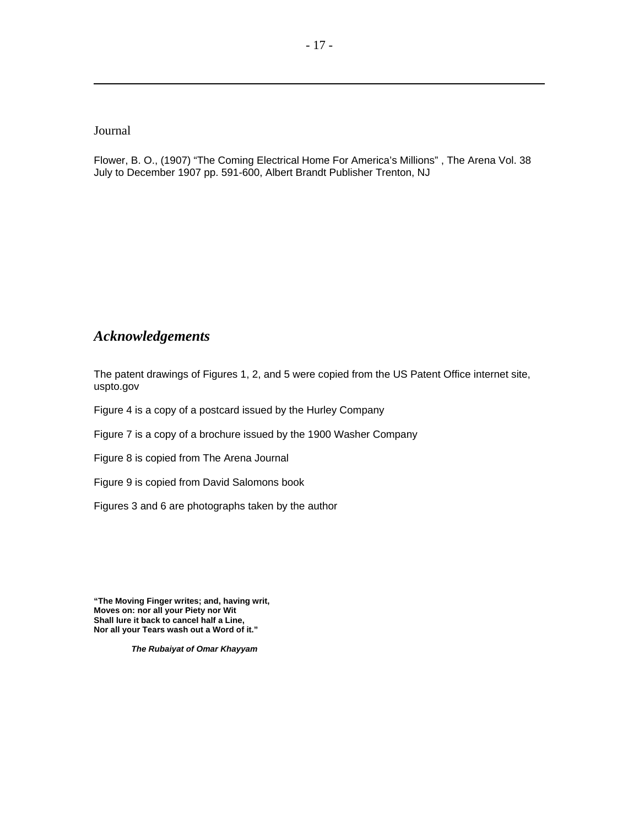#### Journal

 $\overline{a}$ 

Flower, B. O., (1907) "The Coming Electrical Home For America's Millions" , The Arena Vol. 38 July to December 1907 pp. 591-600, Albert Brandt Publisher Trenton, NJ

#### *Acknowledgements*

The patent drawings of Figures 1, 2, and 5 were copied from the US Patent Office internet site, uspto.gov

Figure 4 is a copy of a postcard issued by the Hurley Company

Figure 7 is a copy of a brochure issued by the 1900 Washer Company

Figure 8 is copied from The Arena Journal

Figure 9 is copied from David Salomons book

Figures 3 and 6 are photographs taken by the author

**"The Moving Finger writes; and, having writ, Moves on: nor all your Piety nor Wit Shall lure it back to cancel half a Line, Nor all your Tears wash out a Word of it."** 

*The Rubaiyat of Omar Khayyam*